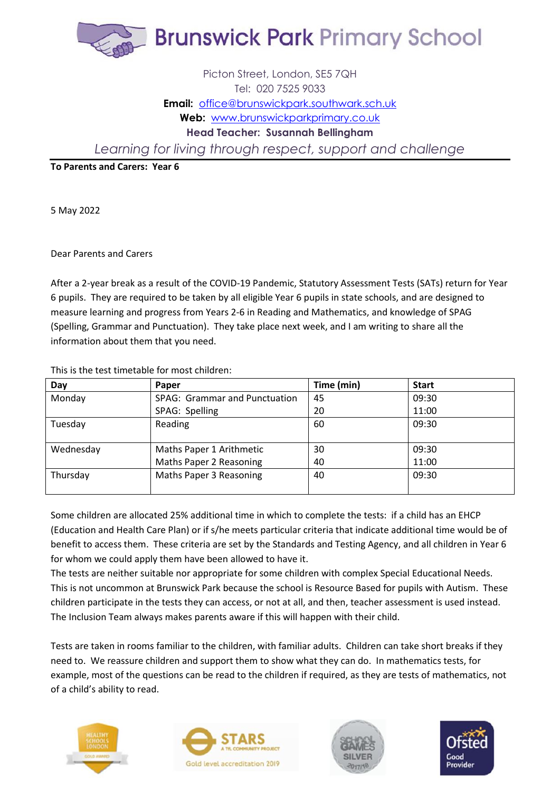

## Picton Street, London, SE5 7QH Tel: 020 7525 9033 **Email:** [office@brunswickpark.southwark.sch.uk](mailto:office@brunswickpark.southwark.sch.uk) **Web:** [www.brunswickparkprimary.co.uk](http://www.brunswickparkprimary.co.uk/) **Head Teacher: Susannah Bellingham**

*Learning for living through respect, support and challenge*

**To Parents and Carers: Year 6**

5 May 2022

Dear Parents and Carers

After a 2-year break as a result of the COVID-19 Pandemic, Statutory Assessment Tests (SATs) return for Year 6 pupils. They are required to be taken by all eligible Year 6 pupils in state schools, and are designed to measure learning and progress from Years 2-6 in Reading and Mathematics, and knowledge of SPAG (Spelling, Grammar and Punctuation). They take place next week, and I am writing to share all the information about them that you need.

This is the test timetable for most children:

| Day       | Paper                         | Time (min) | <b>Start</b> |
|-----------|-------------------------------|------------|--------------|
| Monday    | SPAG: Grammar and Punctuation | 45         | 09:30        |
|           | SPAG: Spelling                | 20         | 11:00        |
| Tuesday   | Reading                       | 60         | 09:30        |
| Wednesday | Maths Paper 1 Arithmetic      | 30         | 09:30        |
|           | Maths Paper 2 Reasoning       | 40         | 11:00        |
| Thursday  | Maths Paper 3 Reasoning       | 40         | 09:30        |

Some children are allocated 25% additional time in which to complete the tests: if a child has an EHCP (Education and Health Care Plan) or if s/he meets particular criteria that indicate additional time would be of benefit to access them. These criteria are set by the Standards and Testing Agency, and all children in Year 6 for whom we could apply them have been allowed to have it.

The tests are neither suitable nor appropriate for some children with complex Special Educational Needs. This is not uncommon at Brunswick Park because the school is Resource Based for pupils with Autism. These children participate in the tests they can access, or not at all, and then, teacher assessment is used instead. The Inclusion Team always makes parents aware if this will happen with their child.

Tests are taken in rooms familiar to the children, with familiar adults. Children can take short breaks if they need to. We reassure children and support them to show what they can do. In mathematics tests, for example, most of the questions can be read to the children if required, as they are tests of mathematics, not of a child's ability to read.